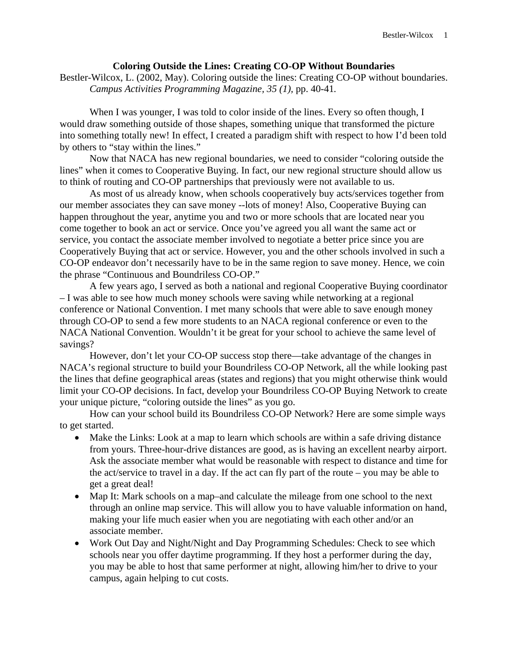## **Coloring Outside the Lines: Creating CO-OP Without Boundaries**

Bestler-Wilcox, L. (2002, May). Coloring outside the lines: Creating CO-OP without boundaries. *Campus Activities Programming Magazine, 35 (1),* pp. 40-41*.* 

When I was younger, I was told to color inside of the lines. Every so often though, I would draw something outside of those shapes, something unique that transformed the picture into something totally new! In effect, I created a paradigm shift with respect to how I'd been told by others to "stay within the lines."

Now that NACA has new regional boundaries, we need to consider "coloring outside the lines" when it comes to Cooperative Buying. In fact, our new regional structure should allow us to think of routing and CO-OP partnerships that previously were not available to us.

As most of us already know, when schools cooperatively buy acts/services together from our member associates they can save money --lots of money! Also, Cooperative Buying can happen throughout the year, anytime you and two or more schools that are located near you come together to book an act or service. Once you've agreed you all want the same act or service, you contact the associate member involved to negotiate a better price since you are Cooperatively Buying that act or service. However, you and the other schools involved in such a CO-OP endeavor don't necessarily have to be in the same region to save money. Hence, we coin the phrase "Continuous and Boundriless CO-OP."

A few years ago, I served as both a national and regional Cooperative Buying coordinator – I was able to see how much money schools were saving while networking at a regional conference or National Convention. I met many schools that were able to save enough money through CO-OP to send a few more students to an NACA regional conference or even to the NACA National Convention. Wouldn't it be great for your school to achieve the same level of savings?

However, don't let your CO-OP success stop there—take advantage of the changes in NACA's regional structure to build your Boundriless CO-OP Network, all the while looking past the lines that define geographical areas (states and regions) that you might otherwise think would limit your CO-OP decisions. In fact, develop your Boundriless CO-OP Buying Network to create your unique picture, "coloring outside the lines" as you go.

How can your school build its Boundriless CO-OP Network? Here are some simple ways to get started.

- Make the Links: Look at a map to learn which schools are within a safe driving distance from yours. Three-hour-drive distances are good, as is having an excellent nearby airport. Ask the associate member what would be reasonable with respect to distance and time for the act/service to travel in a day. If the act can fly part of the route – you may be able to get a great deal!
- Map It: Mark schools on a map–and calculate the mileage from one school to the next through an online map service. This will allow you to have valuable information on hand, making your life much easier when you are negotiating with each other and/or an associate member.
- Work Out Day and Night/Night and Day Programming Schedules: Check to see which schools near you offer daytime programming. If they host a performer during the day, you may be able to host that same performer at night, allowing him/her to drive to your campus, again helping to cut costs.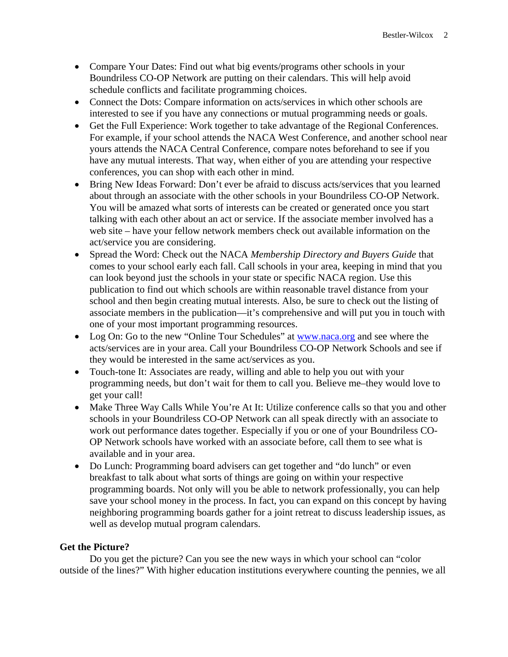- Compare Your Dates: Find out what big events/programs other schools in your Boundriless CO-OP Network are putting on their calendars. This will help avoid schedule conflicts and facilitate programming choices.
- Connect the Dots: Compare information on acts/services in which other schools are interested to see if you have any connections or mutual programming needs or goals.
- Get the Full Experience: Work together to take advantage of the Regional Conferences. For example, if your school attends the NACA West Conference, and another school near yours attends the NACA Central Conference, compare notes beforehand to see if you have any mutual interests. That way, when either of you are attending your respective conferences, you can shop with each other in mind.
- Bring New Ideas Forward: Don't ever be afraid to discuss acts/services that you learned about through an associate with the other schools in your Boundriless CO-OP Network. You will be amazed what sorts of interests can be created or generated once you start talking with each other about an act or service. If the associate member involved has a web site – have your fellow network members check out available information on the act/service you are considering.
- Spread the Word: Check out the NACA *Membership Directory and Buyers Guide* that comes to your school early each fall. Call schools in your area, keeping in mind that you can look beyond just the schools in your state or specific NACA region. Use this publication to find out which schools are within reasonable travel distance from your school and then begin creating mutual interests. Also, be sure to check out the listing of associate members in the publication—it's comprehensive and will put you in touch with one of your most important programming resources.
- Log On: Go to the new "Online Tour Schedules" at www.naca.org and see where the acts/services are in your area. Call your Boundriless CO-OP Network Schools and see if they would be interested in the same act/services as you.
- Touch-tone It: Associates are ready, willing and able to help you out with your programming needs, but don't wait for them to call you. Believe me–they would love to get your call!
- Make Three Way Calls While You're At It: Utilize conference calls so that you and other schools in your Boundriless CO-OP Network can all speak directly with an associate to work out performance dates together. Especially if you or one of your Boundriless CO-OP Network schools have worked with an associate before, call them to see what is available and in your area.
- Do Lunch: Programming board advisers can get together and "do lunch" or even breakfast to talk about what sorts of things are going on within your respective programming boards. Not only will you be able to network professionally, you can help save your school money in the process. In fact, you can expand on this concept by having neighboring programming boards gather for a joint retreat to discuss leadership issues, as well as develop mutual program calendars.

## **Get the Picture?**

Do you get the picture? Can you see the new ways in which your school can "color outside of the lines?" With higher education institutions everywhere counting the pennies, we all